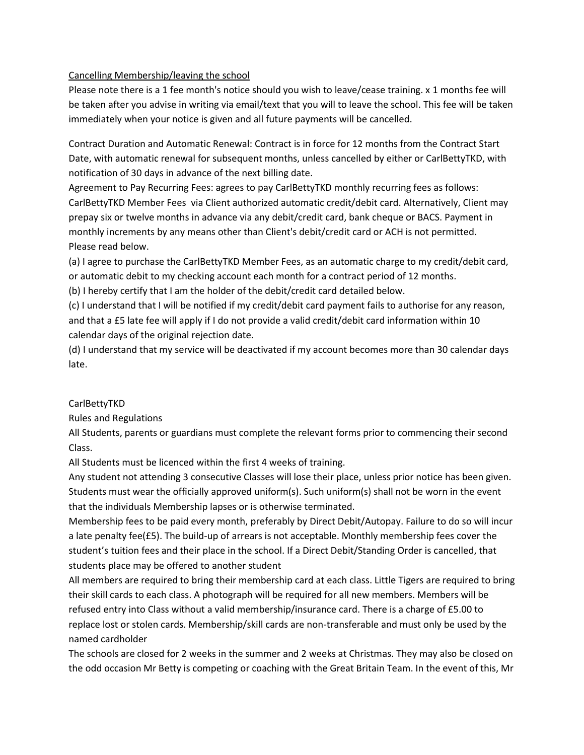## Cancelling Membership/leaving the school

Please note there is a 1 fee month's notice should you wish to leave/cease training. x 1 months fee will be taken after you advise in writing via email/text that you will to leave the school. This fee will be taken immediately when your notice is given and all future payments will be cancelled.

Contract Duration and Automatic Renewal: Contract is in force for 12 months from the Contract Start Date, with automatic renewal for subsequent months, unless cancelled by either or CarlBettyTKD, with notification of 30 days in advance of the next billing date.

Agreement to Pay Recurring Fees: agrees to pay CarlBettyTKD monthly recurring fees as follows: CarlBettyTKD Member Fees via Client authorized automatic credit/debit card. Alternatively, Client may prepay six or twelve months in advance via any debit/credit card, bank cheque or BACS. Payment in monthly increments by any means other than Client's debit/credit card or ACH is not permitted. Please read below.

(a) I agree to purchase the CarlBettyTKD Member Fees, as an automatic charge to my credit/debit card, or automatic debit to my checking account each month for a contract period of 12 months.

(b) I hereby certify that I am the holder of the debit/credit card detailed below.

(c) I understand that I will be notified if my credit/debit card payment fails to authorise for any reason, and that a £5 late fee will apply if I do not provide a valid credit/debit card information within 10 calendar days of the original rejection date.

(d) I understand that my service will be deactivated if my account becomes more than 30 calendar days late.

## **CarlBettyTKD**

Rules and Regulations

All Students, parents or guardians must complete the relevant forms prior to commencing their second Class.

All Students must be licenced within the first 4 weeks of training.

Any student not attending 3 consecutive Classes will lose their place, unless prior notice has been given. Students must wear the officially approved uniform(s). Such uniform(s) shall not be worn in the event that the individuals Membership lapses or is otherwise terminated.

Membership fees to be paid every month, preferably by Direct Debit/Autopay. Failure to do so will incur a late penalty fee(£5). The build-up of arrears is not acceptable. Monthly membership fees cover the student's tuition fees and their place in the school. If a Direct Debit/Standing Order is cancelled, that students place may be offered to another student

All members are required to bring their membership card at each class. Little Tigers are required to bring their skill cards to each class. A photograph will be required for all new members. Members will be refused entry into Class without a valid membership/insurance card. There is a charge of £5.00 to replace lost or stolen cards. Membership/skill cards are non-transferable and must only be used by the named cardholder

The schools are closed for 2 weeks in the summer and 2 weeks at Christmas. They may also be closed on the odd occasion Mr Betty is competing or coaching with the Great Britain Team. In the event of this, Mr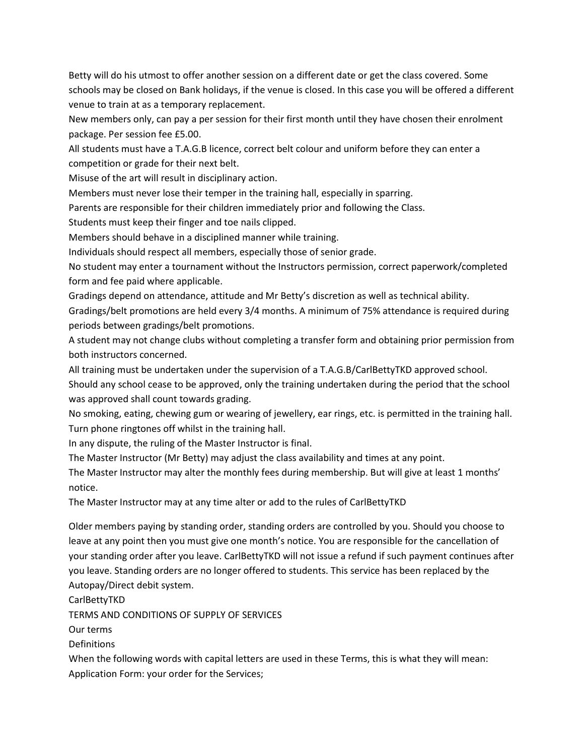Betty will do his utmost to offer another session on a different date or get the class covered. Some schools may be closed on Bank holidays, if the venue is closed. In this case you will be offered a different venue to train at as a temporary replacement.

New members only, can pay a per session for their first month until they have chosen their enrolment package. Per session fee £5.00.

All students must have a T.A.G.B licence, correct belt colour and uniform before they can enter a competition or grade for their next belt.

Misuse of the art will result in disciplinary action.

Members must never lose their temper in the training hall, especially in sparring.

Parents are responsible for their children immediately prior and following the Class.

Students must keep their finger and toe nails clipped.

Members should behave in a disciplined manner while training.

Individuals should respect all members, especially those of senior grade.

No student may enter a tournament without the Instructors permission, correct paperwork/completed form and fee paid where applicable.

Gradings depend on attendance, attitude and Mr Betty's discretion as well as technical ability. Gradings/belt promotions are held every 3/4 months. A minimum of 75% attendance is required during periods between gradings/belt promotions.

A student may not change clubs without completing a transfer form and obtaining prior permission from both instructors concerned.

All training must be undertaken under the supervision of a T.A.G.B/CarlBettyTKD approved school.

Should any school cease to be approved, only the training undertaken during the period that the school was approved shall count towards grading.

No smoking, eating, chewing gum or wearing of jewellery, ear rings, etc. is permitted in the training hall. Turn phone ringtones off whilst in the training hall.

In any dispute, the ruling of the Master Instructor is final.

The Master Instructor (Mr Betty) may adjust the class availability and times at any point.

The Master Instructor may alter the monthly fees during membership. But will give at least 1 months' notice.

The Master Instructor may at any time alter or add to the rules of CarlBettyTKD

Older members paying by standing order, standing orders are controlled by you. Should you choose to leave at any point then you must give one month's notice. You are responsible for the cancellation of your standing order after you leave. CarlBettyTKD will not issue a refund if such payment continues after you leave. Standing orders are no longer offered to students. This service has been replaced by the Autopay/Direct debit system.

CarlBettyTKD

TERMS AND CONDITIONS OF SUPPLY OF SERVICES

Our terms

Definitions

When the following words with capital letters are used in these Terms, this is what they will mean: Application Form: your order for the Services;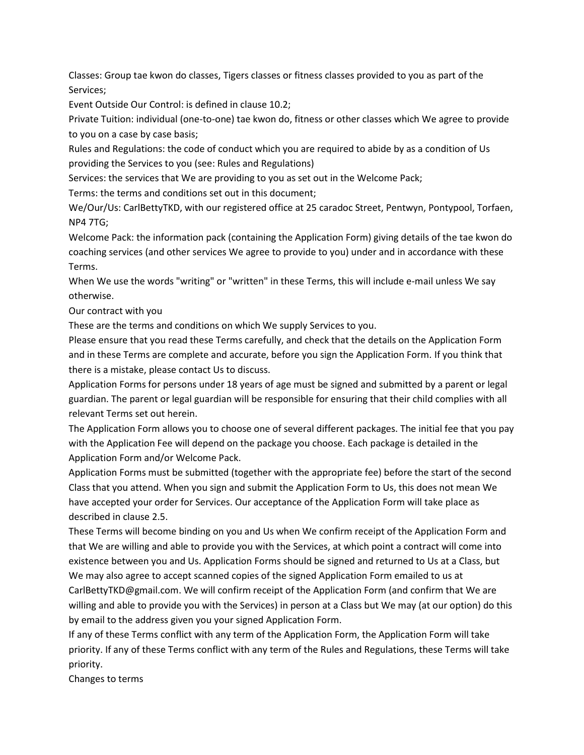Classes: Group tae kwon do classes, Tigers classes or fitness classes provided to you as part of the Services;

Event Outside Our Control: is defined in clause 10.2;

Private Tuition: individual (one-to-one) tae kwon do, fitness or other classes which We agree to provide to you on a case by case basis;

Rules and Regulations: the code of conduct which you are required to abide by as a condition of Us providing the Services to you (see: Rules and Regulations)

Services: the services that We are providing to you as set out in the Welcome Pack;

Terms: the terms and conditions set out in this document;

We/Our/Us: CarlBettyTKD, with our registered office at 25 caradoc Street, Pentwyn, Pontypool, Torfaen, NP4 7TG;

Welcome Pack: the information pack (containing the Application Form) giving details of the tae kwon do coaching services (and other services We agree to provide to you) under and in accordance with these Terms.

When We use the words "writing" or "written" in these Terms, this will include e-mail unless We say otherwise.

Our contract with you

These are the terms and conditions on which We supply Services to you.

Please ensure that you read these Terms carefully, and check that the details on the Application Form and in these Terms are complete and accurate, before you sign the Application Form. If you think that there is a mistake, please contact Us to discuss.

Application Forms for persons under 18 years of age must be signed and submitted by a parent or legal guardian. The parent or legal guardian will be responsible for ensuring that their child complies with all relevant Terms set out herein.

The Application Form allows you to choose one of several different packages. The initial fee that you pay with the Application Fee will depend on the package you choose. Each package is detailed in the Application Form and/or Welcome Pack.

Application Forms must be submitted (together with the appropriate fee) before the start of the second Class that you attend. When you sign and submit the Application Form to Us, this does not mean We have accepted your order for Services. Our acceptance of the Application Form will take place as described in clause 2.5.

These Terms will become binding on you and Us when We confirm receipt of the Application Form and that We are willing and able to provide you with the Services, at which point a contract will come into existence between you and Us. Application Forms should be signed and returned to Us at a Class, but We may also agree to accept scanned copies of the signed Application Form emailed to us at CarlBettyTKD@gmail.com. We will confirm receipt of the Application Form (and confirm that We are willing and able to provide you with the Services) in person at a Class but We may (at our option) do this

by email to the address given you your signed Application Form.

If any of these Terms conflict with any term of the Application Form, the Application Form will take priority. If any of these Terms conflict with any term of the Rules and Regulations, these Terms will take priority.

Changes to terms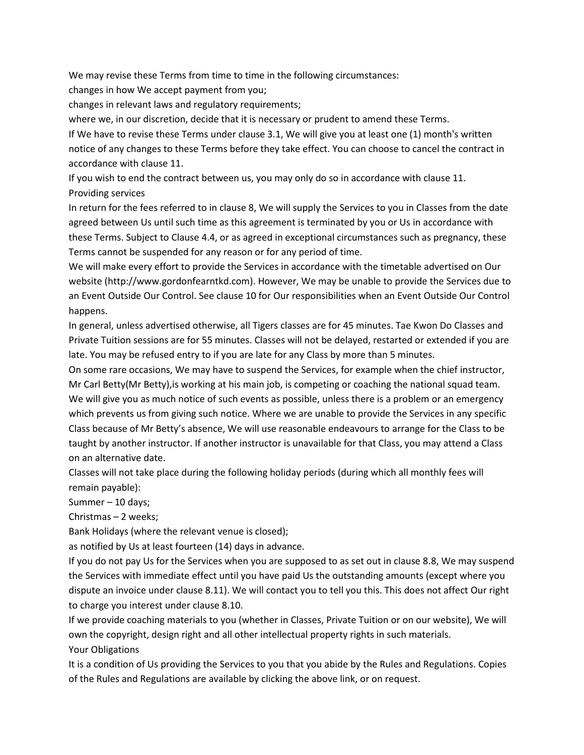We may revise these Terms from time to time in the following circumstances:

changes in how We accept payment from you;

changes in relevant laws and regulatory requirements;

where we, in our discretion, decide that it is necessary or prudent to amend these Terms.

If We have to revise these Terms under clause 3.1, We will give you at least one (1) month's written notice of any changes to these Terms before they take effect. You can choose to cancel the contract in accordance with clause 11.

If you wish to end the contract between us, you may only do so in accordance with clause 11. Providing services

In return for the fees referred to in clause 8, We will supply the Services to you in Classes from the date agreed between Us until such time as this agreement is terminated by you or Us in accordance with these Terms. Subject to Clause 4.4, or as agreed in exceptional circumstances such as pregnancy, these Terms cannot be suspended for any reason or for any period of time.

We will make every effort to provide the Services in accordance with the timetable advertised on Our website (http://www.gordonfearntkd.com). However, We may be unable to provide the Services due to an Event Outside Our Control. See clause 10 for Our responsibilities when an Event Outside Our Control happens.

In general, unless advertised otherwise, all Tigers classes are for 45 minutes. Tae Kwon Do Classes and Private Tuition sessions are for 55 minutes. Classes will not be delayed, restarted or extended if you are late. You may be refused entry to if you are late for any Class by more than 5 minutes.

On some rare occasions, We may have to suspend the Services, for example when the chief instructor, Mr Carl Betty(Mr Betty),is working at his main job, is competing or coaching the national squad team. We will give you as much notice of such events as possible, unless there is a problem or an emergency which prevents us from giving such notice. Where we are unable to provide the Services in any specific Class because of Mr Betty's absence, We will use reasonable endeavours to arrange for the Class to be taught by another instructor. If another instructor is unavailable for that Class, you may attend a Class on an alternative date.

Classes will not take place during the following holiday periods (during which all monthly fees will remain payable):

Summer – 10 days;

Christmas – 2 weeks;

Bank Holidays (where the relevant venue is closed);

as notified by Us at least fourteen (14) days in advance.

If you do not pay Us for the Services when you are supposed to as set out in clause 8.8, We may suspend the Services with immediate effect until you have paid Us the outstanding amounts (except where you dispute an invoice under clause 8.11). We will contact you to tell you this. This does not affect Our right to charge you interest under clause 8.10.

If we provide coaching materials to you (whether in Classes, Private Tuition or on our website), We will own the copyright, design right and all other intellectual property rights in such materials. Your Obligations

It is a condition of Us providing the Services to you that you abide by the Rules and Regulations. Copies of the Rules and Regulations are available by clicking the above link, or on request.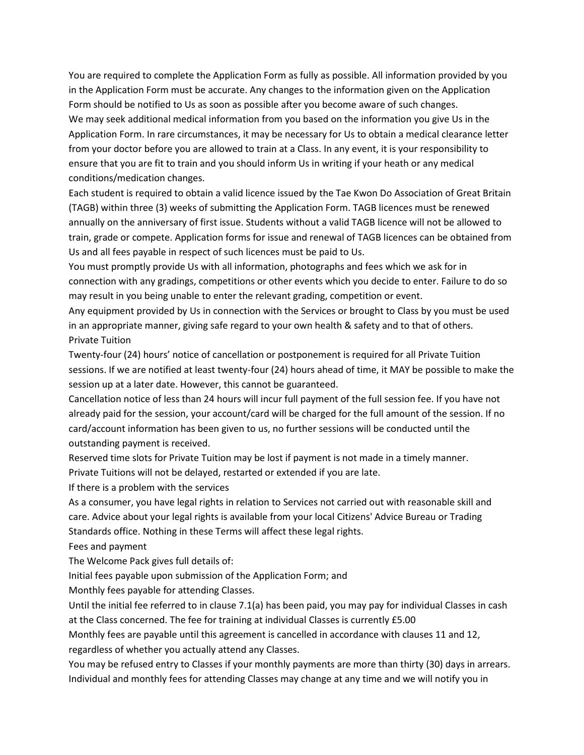You are required to complete the Application Form as fully as possible. All information provided by you in the Application Form must be accurate. Any changes to the information given on the Application Form should be notified to Us as soon as possible after you become aware of such changes. We may seek additional medical information from you based on the information you give Us in the Application Form. In rare circumstances, it may be necessary for Us to obtain a medical clearance letter from your doctor before you are allowed to train at a Class. In any event, it is your responsibility to ensure that you are fit to train and you should inform Us in writing if your heath or any medical conditions/medication changes.

Each student is required to obtain a valid licence issued by the Tae Kwon Do Association of Great Britain (TAGB) within three (3) weeks of submitting the Application Form. TAGB licences must be renewed annually on the anniversary of first issue. Students without a valid TAGB licence will not be allowed to train, grade or compete. Application forms for issue and renewal of TAGB licences can be obtained from Us and all fees payable in respect of such licences must be paid to Us.

You must promptly provide Us with all information, photographs and fees which we ask for in connection with any gradings, competitions or other events which you decide to enter. Failure to do so may result in you being unable to enter the relevant grading, competition or event.

Any equipment provided by Us in connection with the Services or brought to Class by you must be used in an appropriate manner, giving safe regard to your own health & safety and to that of others. Private Tuition

Twenty-four (24) hours' notice of cancellation or postponement is required for all Private Tuition sessions. If we are notified at least twenty-four (24) hours ahead of time, it MAY be possible to make the session up at a later date. However, this cannot be guaranteed.

Cancellation notice of less than 24 hours will incur full payment of the full session fee. If you have not already paid for the session, your account/card will be charged for the full amount of the session. If no card/account information has been given to us, no further sessions will be conducted until the outstanding payment is received.

Reserved time slots for Private Tuition may be lost if payment is not made in a timely manner. Private Tuitions will not be delayed, restarted or extended if you are late.

If there is a problem with the services

As a consumer, you have legal rights in relation to Services not carried out with reasonable skill and care. Advice about your legal rights is available from your local Citizens' Advice Bureau or Trading Standards office. Nothing in these Terms will affect these legal rights.

Fees and payment

The Welcome Pack gives full details of:

Initial fees payable upon submission of the Application Form; and

Monthly fees payable for attending Classes.

Until the initial fee referred to in clause 7.1(a) has been paid, you may pay for individual Classes in cash at the Class concerned. The fee for training at individual Classes is currently £5.00

Monthly fees are payable until this agreement is cancelled in accordance with clauses 11 and 12, regardless of whether you actually attend any Classes.

You may be refused entry to Classes if your monthly payments are more than thirty (30) days in arrears.

Individual and monthly fees for attending Classes may change at any time and we will notify you in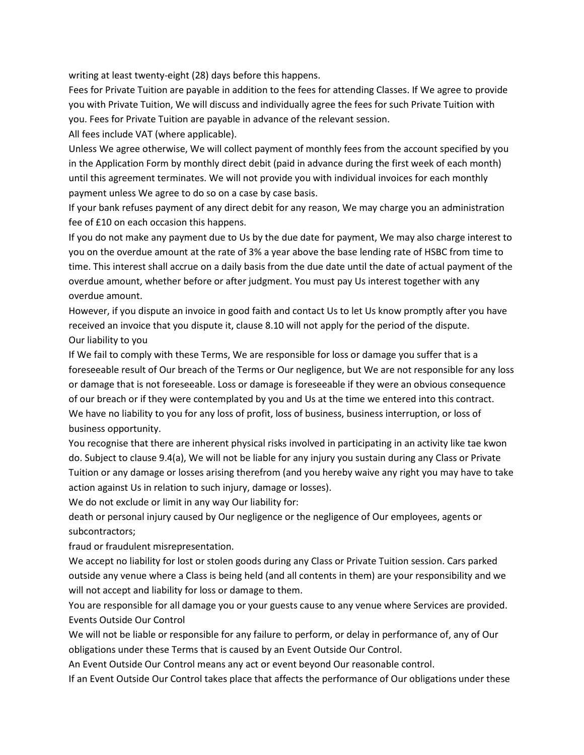writing at least twenty-eight (28) days before this happens.

Fees for Private Tuition are payable in addition to the fees for attending Classes. If We agree to provide you with Private Tuition, We will discuss and individually agree the fees for such Private Tuition with you. Fees for Private Tuition are payable in advance of the relevant session.

All fees include VAT (where applicable).

Unless We agree otherwise, We will collect payment of monthly fees from the account specified by you in the Application Form by monthly direct debit (paid in advance during the first week of each month) until this agreement terminates. We will not provide you with individual invoices for each monthly payment unless We agree to do so on a case by case basis.

If your bank refuses payment of any direct debit for any reason, We may charge you an administration fee of £10 on each occasion this happens.

If you do not make any payment due to Us by the due date for payment, We may also charge interest to you on the overdue amount at the rate of 3% a year above the base lending rate of HSBC from time to time. This interest shall accrue on a daily basis from the due date until the date of actual payment of the overdue amount, whether before or after judgment. You must pay Us interest together with any overdue amount.

However, if you dispute an invoice in good faith and contact Us to let Us know promptly after you have received an invoice that you dispute it, clause 8.10 will not apply for the period of the dispute. Our liability to you

If We fail to comply with these Terms, We are responsible for loss or damage you suffer that is a foreseeable result of Our breach of the Terms or Our negligence, but We are not responsible for any loss or damage that is not foreseeable. Loss or damage is foreseeable if they were an obvious consequence of our breach or if they were contemplated by you and Us at the time we entered into this contract. We have no liability to you for any loss of profit, loss of business, business interruption, or loss of business opportunity.

You recognise that there are inherent physical risks involved in participating in an activity like tae kwon do. Subject to clause 9.4(a), We will not be liable for any injury you sustain during any Class or Private Tuition or any damage or losses arising therefrom (and you hereby waive any right you may have to take action against Us in relation to such injury, damage or losses).

We do not exclude or limit in any way Our liability for:

death or personal injury caused by Our negligence or the negligence of Our employees, agents or subcontractors;

fraud or fraudulent misrepresentation.

We accept no liability for lost or stolen goods during any Class or Private Tuition session. Cars parked outside any venue where a Class is being held (and all contents in them) are your responsibility and we will not accept and liability for loss or damage to them.

You are responsible for all damage you or your guests cause to any venue where Services are provided. Events Outside Our Control

We will not be liable or responsible for any failure to perform, or delay in performance of, any of Our obligations under these Terms that is caused by an Event Outside Our Control.

An Event Outside Our Control means any act or event beyond Our reasonable control.

If an Event Outside Our Control takes place that affects the performance of Our obligations under these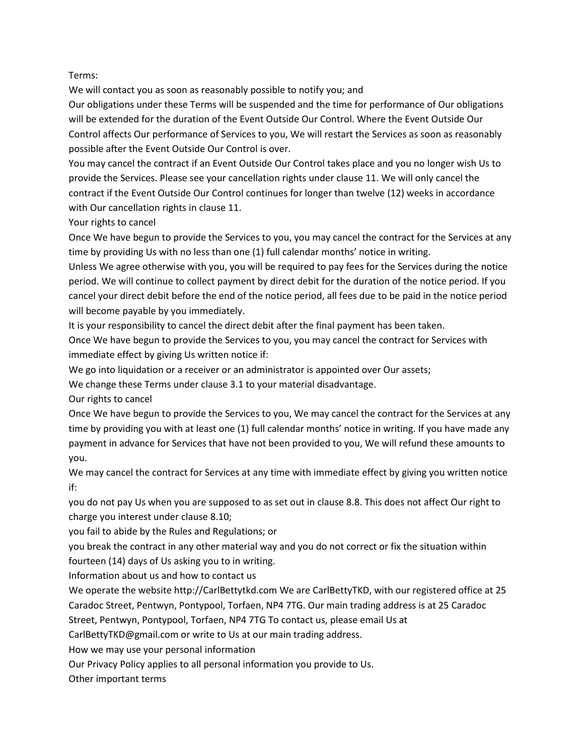## Terms:

We will contact you as soon as reasonably possible to notify you; and

Our obligations under these Terms will be suspended and the time for performance of Our obligations will be extended for the duration of the Event Outside Our Control. Where the Event Outside Our Control affects Our performance of Services to you, We will restart the Services as soon as reasonably possible after the Event Outside Our Control is over.

You may cancel the contract if an Event Outside Our Control takes place and you no longer wish Us to provide the Services. Please see your cancellation rights under clause 11. We will only cancel the contract if the Event Outside Our Control continues for longer than twelve (12) weeks in accordance with Our cancellation rights in clause 11.

Your rights to cancel

Once We have begun to provide the Services to you, you may cancel the contract for the Services at any time by providing Us with no less than one (1) full calendar months' notice in writing.

Unless We agree otherwise with you, you will be required to pay fees for the Services during the notice period. We will continue to collect payment by direct debit for the duration of the notice period. If you cancel your direct debit before the end of the notice period, all fees due to be paid in the notice period will become payable by you immediately.

It is your responsibility to cancel the direct debit after the final payment has been taken.

Once We have begun to provide the Services to you, you may cancel the contract for Services with immediate effect by giving Us written notice if:

We go into liquidation or a receiver or an administrator is appointed over Our assets;

We change these Terms under clause 3.1 to your material disadvantage.

Our rights to cancel

Once We have begun to provide the Services to you, We may cancel the contract for the Services at any time by providing you with at least one (1) full calendar months' notice in writing. If you have made any payment in advance for Services that have not been provided to you, We will refund these amounts to you.

We may cancel the contract for Services at any time with immediate effect by giving you written notice if:

you do not pay Us when you are supposed to as set out in clause 8.8. This does not affect Our right to charge you interest under clause 8.10;

you fail to abide by the Rules and Regulations; or

you break the contract in any other material way and you do not correct or fix the situation within fourteen (14) days of Us asking you to in writing.

Information about us and how to contact us

We operate the website http://CarlBettytkd.com We are CarlBettyTKD, with our registered office at 25 Caradoc Street, Pentwyn, Pontypool, Torfaen, NP4 7TG. Our main trading address is at 25 Caradoc

Street, Pentwyn, Pontypool, Torfaen, NP4 7TG To contact us, please email Us at

CarlBettyTKD@gmail.com or write to Us at our main trading address.

How we may use your personal information

Our Privacy Policy applies to all personal information you provide to Us.

Other important terms